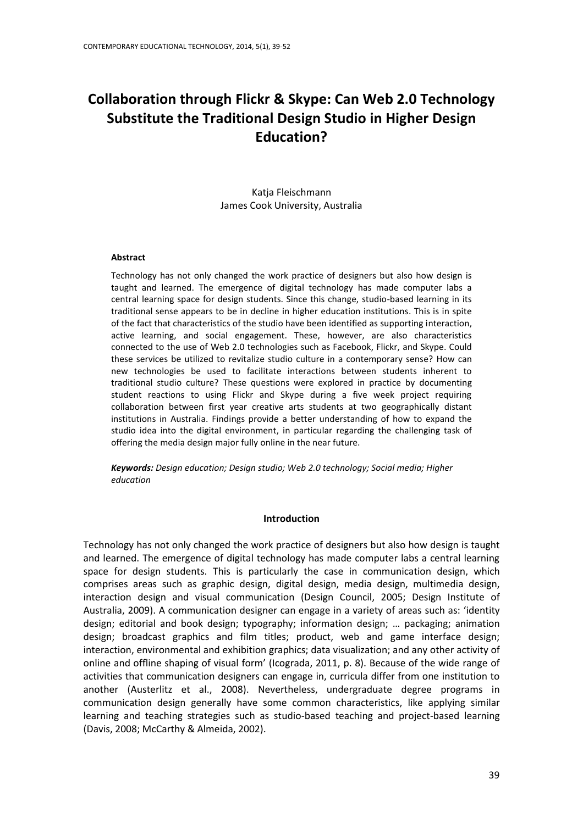# **Collaboration through Flickr & Skype: Can Web 2.0 Technology Substitute the Traditional Design Studio in Higher Design Education?**

Katja Fleischmann James Cook University, Australia

#### **Abstract**

Technology has not only changed the work practice of designers but also how design is taught and learned. The emergence of digital technology has made computer labs a central learning space for design students. Since this change, studio-based learning in its traditional sense appears to be in decline in higher education institutions. This is in spite of the fact that characteristics of the studio have been identified as supporting interaction, active learning, and social engagement. These, however, are also characteristics connected to the use of Web 2.0 technologies such as Facebook, Flickr, and Skype. Could these services be utilized to revitalize studio culture in a contemporary sense? How can new technologies be used to facilitate interactions between students inherent to traditional studio culture? These questions were explored in practice by documenting student reactions to using Flickr and Skype during a five week project requiring collaboration between first year creative arts students at two geographically distant institutions in Australia. Findings provide a better understanding of how to expand the studio idea into the digital environment, in particular regarding the challenging task of offering the media design major fully online in the near future.

*Keywords: Design education; Design studio; Web 2.0 technology; Social media; Higher education*

#### **Introduction**

Technology has not only changed the work practice of designers but also how design is taught and learned. The emergence of digital technology has made computer labs a central learning space for design students. This is particularly the case in communication design, which comprises areas such as graphic design, digital design, media design, multimedia design, interaction design and visual communication (Design Council, 2005; Design Institute of Australia, 2009). A communication designer can engage in a variety of areas such as: 'identity design; editorial and book design; typography; information design; … packaging; animation design; broadcast graphics and film titles; product, web and game interface design; interaction, environmental and exhibition graphics; data visualization; and any other activity of online and offline shaping of visual form' (Icograda, 2011, p. 8). Because of the wide range of activities that communication designers can engage in, curricula differ from one institution to another (Austerlitz et al., 2008). Nevertheless, undergraduate degree programs in communication design generally have some common characteristics, like applying similar learning and teaching strategies such as studio-based teaching and project-based learning (Davis, 2008; McCarthy & Almeida, 2002).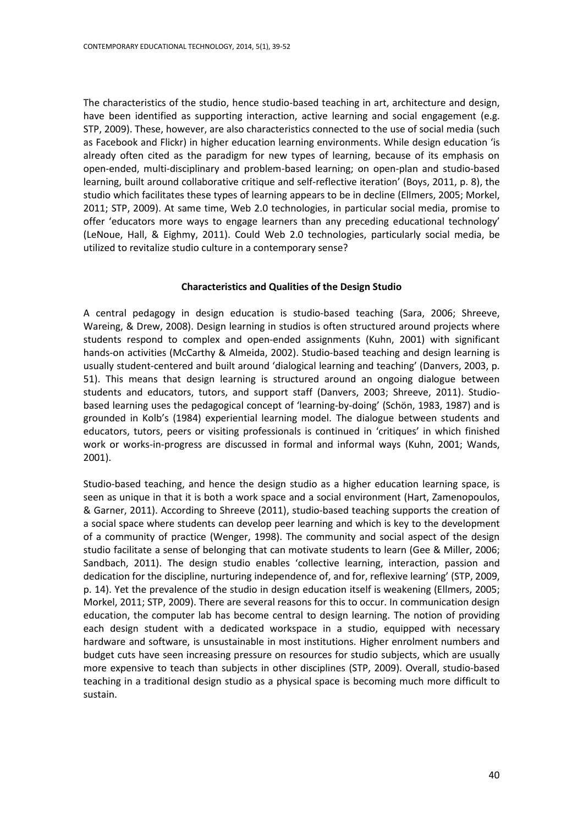The characteristics of the studio, hence studio-based teaching in art, architecture and design, have been identified as supporting interaction, active learning and social engagement (e.g. STP, 2009). These, however, are also characteristics connected to the use of social media (such as Facebook and Flickr) in higher education learning environments. While design education 'is already often cited as the paradigm for new types of learning, because of its emphasis on open-ended, multi-disciplinary and problem-based learning; on open-plan and studio-based learning, built around collaborative critique and self-reflective iteration' (Boys, 2011, p. 8), the studio which facilitates these types of learning appears to be in decline (Ellmers, 2005; Morkel, 2011; STP, 2009). At same time, Web 2.0 technologies, in particular social media, promise to offer 'educators more ways to engage learners than any preceding educational technology' (LeNoue, Hall, & Eighmy, 2011). Could Web 2.0 technologies, particularly social media, be utilized to revitalize studio culture in a contemporary sense?

#### **Characteristics and Qualities of the Design Studio**

A central pedagogy in design education is studio-based teaching (Sara, 2006; Shreeve, Wareing, & Drew, 2008). Design learning in studios is often structured around projects where students respond to complex and open-ended assignments (Kuhn, 2001) with significant hands-on activities (McCarthy & Almeida, 2002). Studio-based teaching and design learning is usually student-centered and built around 'dialogical learning and teaching' (Danvers, 2003, p. 51). This means that design learning is structured around an ongoing dialogue between students and educators, tutors, and support staff (Danvers, 2003; Shreeve, 2011). Studiobased learning uses the pedagogical concept of 'learning-by-doing' (Schön, 1983, 1987) and is grounded in Kolb's (1984) experiential learning model. The dialogue between students and educators, tutors, peers or visiting professionals is continued in 'critiques' in which finished work or works-in-progress are discussed in formal and informal ways (Kuhn, 2001; Wands, 2001).

Studio-based teaching, and hence the design studio as a higher education learning space, is seen as unique in that it is both a work space and a social environment (Hart, Zamenopoulos, & Garner, 2011). According to Shreeve (2011), studio-based teaching supports the creation of a social space where students can develop peer learning and which is key to the development of a community of practice (Wenger, 1998). The community and social aspect of the design studio facilitate a sense of belonging that can motivate students to learn (Gee & Miller, 2006; Sandbach, 2011). The design studio enables 'collective learning, interaction, passion and dedication for the discipline, nurturing independence of, and for, reflexive learning' (STP, 2009, p. 14). Yet the prevalence of the studio in design education itself is weakening (Ellmers, 2005; Morkel, 2011; STP, 2009). There are several reasons for this to occur. In communication design education, the computer lab has become central to design learning. The notion of providing each design student with a dedicated workspace in a studio, equipped with necessary hardware and software, is unsustainable in most institutions. Higher enrolment numbers and budget cuts have seen increasing pressure on resources for studio subjects, which are usually more expensive to teach than subjects in other disciplines (STP, 2009). Overall, studio-based teaching in a traditional design studio as a physical space is becoming much more difficult to sustain.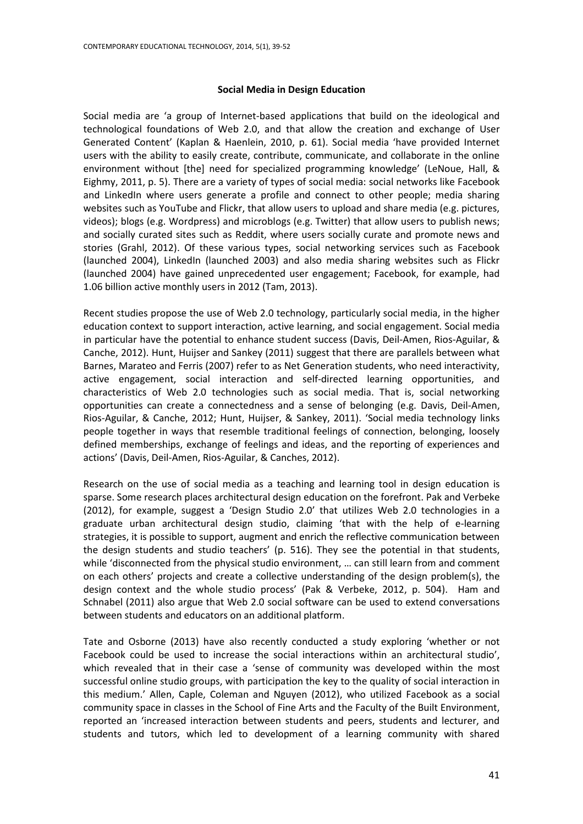#### **Social Media in Design Education**

Social media are 'a group of Internet-based applications that build on the ideological and technological foundations of Web 2.0, and that allow the creation and exchange of User Generated Content' (Kaplan & Haenlein, 2010, p. 61). Social media 'have provided Internet users with the ability to easily create, contribute, communicate, and collaborate in the online environment without [the] need for specialized programming knowledge' (LeNoue, Hall, & Eighmy, 2011, p. 5). There are a variety of types of social media: social networks like Facebook and LinkedIn where users generate a profile and connect to other people; media sharing websites such as YouTube and Flickr, that allow users to upload and share media (e.g. pictures, videos); blogs (e.g. Wordpress) and microblogs (e.g. Twitter) that allow users to publish news; and socially curated sites such as Reddit, where users socially curate and promote news and stories (Grahl, 2012). Of these various types, social networking services such as Facebook (launched 2004), LinkedIn (launched 2003) and also media sharing websites such as Flickr (launched 2004) have gained unprecedented user engagement; Facebook, for example, had 1.06 billion active monthly users in 2012 (Tam, 2013).

Recent studies propose the use of Web 2.0 technology, particularly social media, in the higher education context to support interaction, active learning, and social engagement. Social media in particular have the potential to enhance student success (Davis, Deil-Amen, Rios-Aguilar, & Canche, 2012). Hunt, Huijser and Sankey (2011) suggest that there are parallels between what Barnes, Marateo and Ferris (2007) refer to as Net Generation students, who need interactivity, active engagement, social interaction and self-directed learning opportunities, and characteristics of Web 2.0 technologies such as social media. That is, social networking opportunities can create a connectedness and a sense of belonging (e.g. Davis, Deil-Amen, Rios-Aguilar, & Canche, 2012; Hunt, Huijser, & Sankey, 2011). 'Social media technology links people together in ways that resemble traditional feelings of connection, belonging, loosely defined memberships, exchange of feelings and ideas, and the reporting of experiences and actions' (Davis, Deil-Amen, Rios-Aguilar, & Canches, 2012).

Research on the use of social media as a teaching and learning tool in design education is sparse. Some research places architectural design education on the forefront. Pak and Verbeke (2012), for example, suggest a 'Design Studio 2.0' that utilizes Web 2.0 technologies in a graduate urban architectural design studio, claiming 'that with the help of e-learning strategies, it is possible to support, augment and enrich the reflective communication between the design students and studio teachers' (p. 516). They see the potential in that students, while 'disconnected from the physical studio environment, … can still learn from and comment on each others' projects and create a collective understanding of the design problem(s), the design context and the whole studio process' (Pak & Verbeke, 2012, p. 504). Ham and Schnabel (2011) also argue that Web 2.0 social software can be used to extend conversations between students and educators on an additional platform.

Tate and Osborne (2013) have also recently conducted a study exploring 'whether or not Facebook could be used to increase the social interactions within an architectural studio', which revealed that in their case a 'sense of community was developed within the most successful online studio groups, with participation the key to the quality of social interaction in this medium.' Allen, Caple, Coleman and Nguyen (2012), who utilized Facebook as a social community space in classes in the School of Fine Arts and the Faculty of the Built Environment, reported an 'increased interaction between students and peers, students and lecturer, and students and tutors, which led to development of a learning community with shared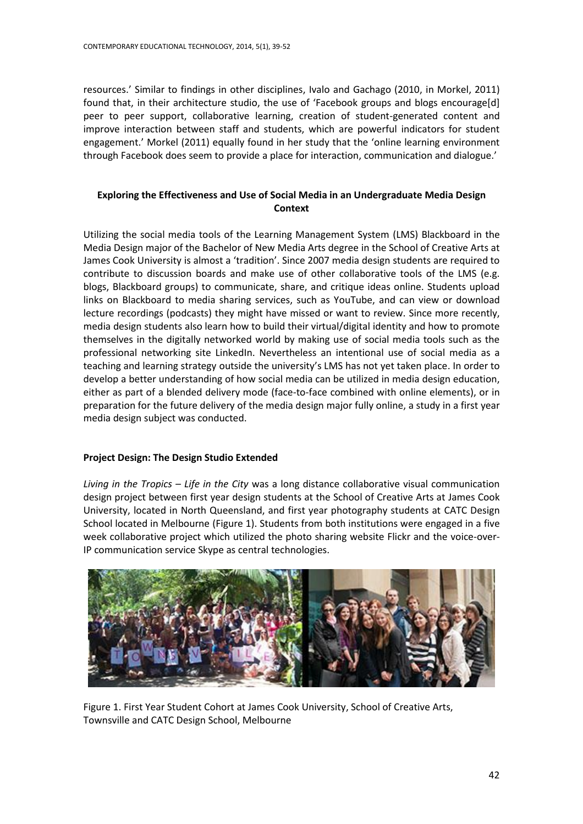resources.' Similar to findings in other disciplines, Ivalo and Gachago (2010, in Morkel, 2011) found that, in their architecture studio, the use of 'Facebook groups and blogs encourage[d] peer to peer support, collaborative learning, creation of student-generated content and improve interaction between staff and students, which are powerful indicators for student engagement.' Morkel (2011) equally found in her study that the 'online learning environment through Facebook does seem to provide a place for interaction, communication and dialogue.'

## **Exploring the Effectiveness and Use of Social Media in an Undergraduate Media Design Context**

Utilizing the social media tools of the Learning Management System (LMS) Blackboard in the Media Design major of the Bachelor of New Media Arts degree in the School of Creative Arts at James Cook University is almost a 'tradition'. Since 2007 media design students are required to contribute to discussion boards and make use of other collaborative tools of the LMS (e.g. blogs, Blackboard groups) to communicate, share, and critique ideas online. Students upload links on Blackboard to media sharing services, such as YouTube, and can view or download lecture recordings (podcasts) they might have missed or want to review. Since more recently, media design students also learn how to build their virtual/digital identity and how to promote themselves in the digitally networked world by making use of social media tools such as the professional networking site LinkedIn. Nevertheless an intentional use of social media as a teaching and learning strategy outside the university's LMS has not yet taken place. In order to develop a better understanding of how social media can be utilized in media design education, either as part of a blended delivery mode (face-to-face combined with online elements), or in preparation for the future delivery of the media design major fully online, a study in a first year media design subject was conducted.

## **Project Design: The Design Studio Extended**

*Living in the Tropics – Life in the City* was a long distance collaborative visual communication design project between first year design students at the School of Creative Arts at James Cook University, located in North Queensland, and first year photography students at CATC Design School located in Melbourne (Figure 1). Students from both institutions were engaged in a five week collaborative project which utilized the photo sharing website Flickr and the voice-over-IP communication service Skype as central technologies.



Figure 1. First Year Student Cohort at James Cook University, School of Creative Arts, Townsville and CATC Design School, Melbourne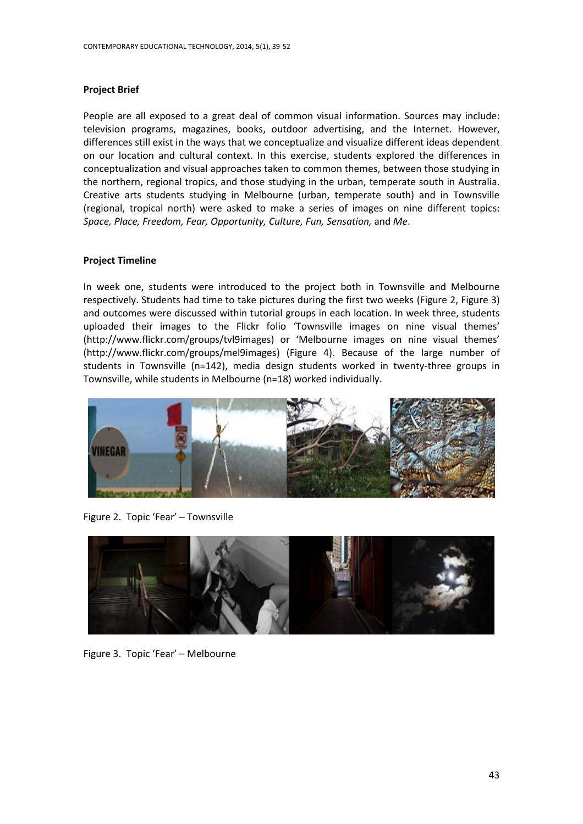#### **Project Brief**

People are all exposed to a great deal of common visual information. Sources may include: television programs, magazines, books, outdoor advertising, and the Internet. However, differences still exist in the ways that we conceptualize and visualize different ideas dependent on our location and cultural context. In this exercise, students explored the differences in conceptualization and visual approaches taken to common themes, between those studying in the northern, regional tropics, and those studying in the urban, temperate south in Australia. Creative arts students studying in Melbourne (urban, temperate south) and in Townsville (regional, tropical north) were asked to make a series of images on nine different topics: *Space, Place, Freedom, Fear, Opportunity, Culture, Fun, Sensation,* and *Me*.

## **Project Timeline**

In week one, students were introduced to the project both in Townsville and Melbourne respectively. Students had time to take pictures during the first two weeks (Figure 2, Figure 3) and outcomes were discussed within tutorial groups in each location. In week three, students uploaded their images to the Flickr folio 'Townsville images on nine visual themes' (http://www.flickr.com/groups/tvl9images) or 'Melbourne images on nine visual themes' (http://www.flickr.com/groups/mel9images) (Figure 4). Because of the large number of students in Townsville (n=142), media design students worked in twenty-three groups in Townsville, while students in Melbourne (n=18) worked individually.



Figure 2. Topic 'Fear' – Townsville



Figure 3. Topic 'Fear' – Melbourne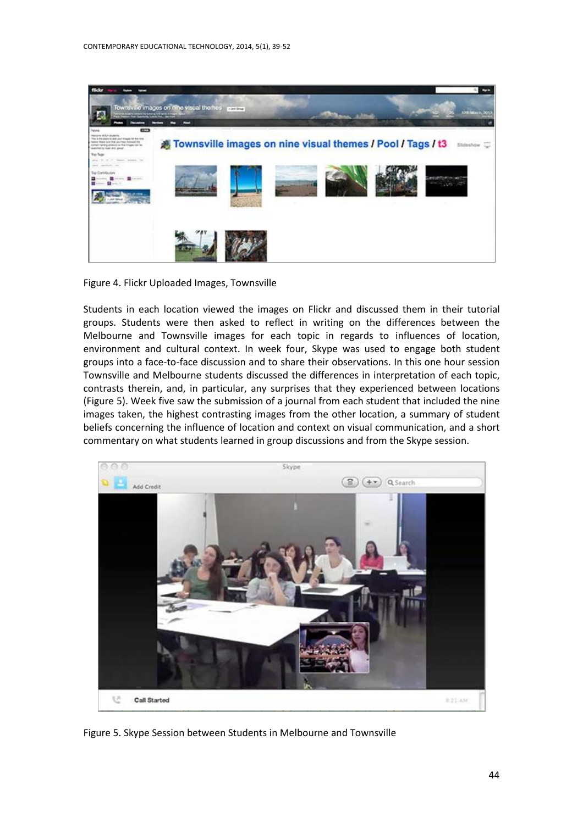

Figure 4. Flickr Uploaded Images, Townsville

Students in each location viewed the images on Flickr and discussed them in their tutorial groups. Students were then asked to reflect in writing on the differences between the Melbourne and Townsville images for each topic in regards to influences of location, environment and cultural context. In week four, Skype was used to engage both student groups into a face-to-face discussion and to share their observations. In this one hour session Townsville and Melbourne students discussed the differences in interpretation of each topic, contrasts therein, and, in particular, any surprises that they experienced between locations (Figure 5). Week five saw the submission of a journal from each student that included the nine images taken, the highest contrasting images from the other location, a summary of student beliefs concerning the influence of location and context on visual communication, and a short commentary on what students learned in group discussions and from the Skype session.



Figure 5. Skype Session between Students in Melbourne and Townsville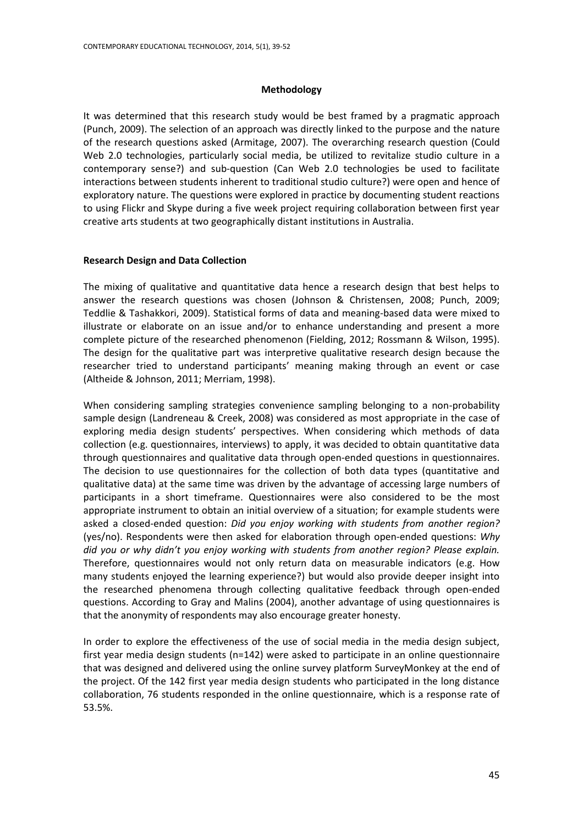#### **Methodology**

It was determined that this research study would be best framed by a pragmatic approach (Punch, 2009). The selection of an approach was directly linked to the purpose and the nature of the research questions asked (Armitage, 2007). The overarching research question (Could Web 2.0 technologies, particularly social media, be utilized to revitalize studio culture in a contemporary sense?) and sub-question (Can Web 2.0 technologies be used to facilitate interactions between students inherent to traditional studio culture?) were open and hence of exploratory nature. The questions were explored in practice by documenting student reactions to using Flickr and Skype during a five week project requiring collaboration between first year creative arts students at two geographically distant institutions in Australia.

#### **Research Design and Data Collection**

The mixing of qualitative and quantitative data hence a research design that best helps to answer the research questions was chosen (Johnson & Christensen, 2008; Punch, 2009; Teddlie & Tashakkori, 2009). Statistical forms of data and meaning-based data were mixed to illustrate or elaborate on an issue and/or to enhance understanding and present a more complete picture of the researched phenomenon (Fielding, 2012; Rossmann & Wilson, 1995). The design for the qualitative part was interpretive qualitative research design because the researcher tried to understand participants' meaning making through an event or case (Altheide & Johnson, 2011; Merriam, 1998).

When considering sampling strategies convenience sampling belonging to a non-probability sample design (Landreneau & Creek, 2008) was considered as most appropriate in the case of exploring media design students' perspectives. When considering which methods of data collection (e.g. questionnaires, interviews) to apply, it was decided to obtain quantitative data through questionnaires and qualitative data through open-ended questions in questionnaires. The decision to use questionnaires for the collection of both data types (quantitative and qualitative data) at the same time was driven by the advantage of accessing large numbers of participants in a short timeframe. Questionnaires were also considered to be the most appropriate instrument to obtain an initial overview of a situation; for example students were asked a closed-ended question: *Did you enjoy working with students from another region?* (yes/no). Respondents were then asked for elaboration through open-ended questions: *Why did you or why didn't you enjoy working with students from another region? Please explain.* Therefore, questionnaires would not only return data on measurable indicators (e.g. How many students enjoyed the learning experience?) but would also provide deeper insight into the researched phenomena through collecting qualitative feedback through open-ended questions. According to Gray and Malins (2004), another advantage of using questionnaires is that the anonymity of respondents may also encourage greater honesty.

In order to explore the effectiveness of the use of social media in the media design subject, first year media design students (n=142) were asked to participate in an online questionnaire that was designed and delivered using the online survey platform SurveyMonkey at the end of the project. Of the 142 first year media design students who participated in the long distance collaboration, 76 students responded in the online questionnaire, which is a response rate of 53.5%.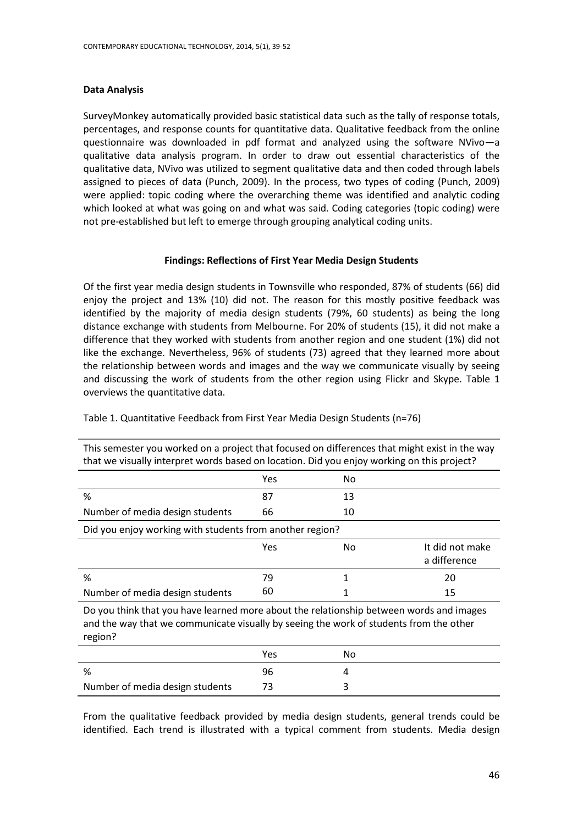#### **Data Analysis**

SurveyMonkey automatically provided basic statistical data such as the tally of response totals, percentages, and response counts for quantitative data. Qualitative feedback from the online questionnaire was downloaded in pdf format and analyzed using the software NVivo—a qualitative data analysis program. In order to draw out essential characteristics of the qualitative data, NVivo was utilized to segment qualitative data and then coded through labels assigned to pieces of data (Punch, 2009). In the process, two types of coding (Punch, 2009) were applied: topic coding where the overarching theme was identified and analytic coding which looked at what was going on and what was said. Coding categories (topic coding) were not pre-established but left to emerge through grouping analytical coding units.

## **Findings: Reflections of First Year Media Design Students**

Of the first year media design students in Townsville who responded, 87% of students (66) did enjoy the project and 13% (10) did not. The reason for this mostly positive feedback was identified by the majority of media design students (79%, 60 students) as being the long distance exchange with students from Melbourne. For 20% of students (15), it did not make a difference that they worked with students from another region and one student (1%) did not like the exchange. Nevertheless, 96% of students (73) agreed that they learned more about the relationship between words and images and the way we communicate visually by seeing and discussing the work of students from the other region using Flickr and Skype. Table 1 overviews the quantitative data.

| This semester you worked on a project that focused on differences that might exist in the way<br>that we visually interpret words based on location. Did you enjoy working on this project? |     |    |                                 |  |
|---------------------------------------------------------------------------------------------------------------------------------------------------------------------------------------------|-----|----|---------------------------------|--|
|                                                                                                                                                                                             | Yes | No |                                 |  |
| %                                                                                                                                                                                           | 87  | 13 |                                 |  |
| Number of media design students                                                                                                                                                             | 66  | 10 |                                 |  |
| Did you enjoy working with students from another region?                                                                                                                                    |     |    |                                 |  |
|                                                                                                                                                                                             | Yes | No | It did not make<br>a difference |  |
| %                                                                                                                                                                                           | 79  |    | 20                              |  |
| Number of media design students                                                                                                                                                             | 60  |    | 15                              |  |

Table 1. Quantitative Feedback from First Year Media Design Students (n=76)

Do you think that you have learned more about the relationship between words and images and the way that we communicate visually by seeing the work of students from the other region?

|                                 | Yes | NΟ |
|---------------------------------|-----|----|
| %                               | 96  |    |
| Number of media design students |     |    |

From the qualitative feedback provided by media design students, general trends could be identified. Each trend is illustrated with a typical comment from students. Media design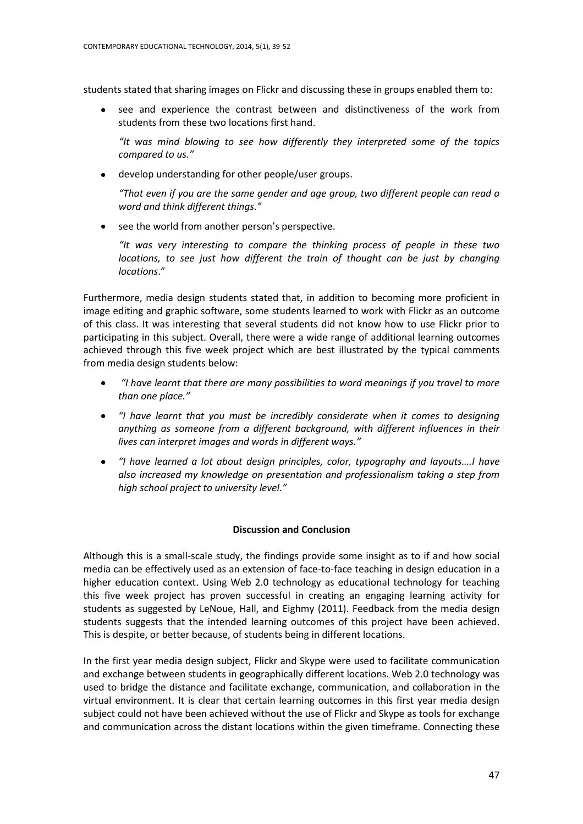students stated that sharing images on Flickr and discussing these in groups enabled them to:

see and experience the contrast between and distinctiveness of the work from students from these two locations first hand.

*"It was mind blowing to see how differently they interpreted some of the topics compared to us."*

develop understanding for other people/user groups.

*"That even if you are the same gender and age group, two different people can read a word and think different things."*

• see the world from another person's perspective.

*"It was very interesting to compare the thinking process of people in these two locations, to see just how different the train of thought can be just by changing locations*."

Furthermore, media design students stated that, in addition to becoming more proficient in image editing and graphic software, some students learned to work with Flickr as an outcome of this class. It was interesting that several students did not know how to use Flickr prior to participating in this subject. Overall, there were a wide range of additional learning outcomes achieved through this five week project which are best illustrated by the typical comments from media design students below:

- $\bullet$ *"I have learnt that there are many possibilities to word meanings if you travel to more than one place."*
- *"I have learnt that you must be incredibly considerate when it comes to designing anything as someone from a different background, with different influences in their lives can interpret images and words in different ways."*
- $\bullet$ *"I have learned a lot about design principles, color, typography and layouts….I have also increased my knowledge on presentation and professionalism taking a step from high school project to university level."*

## **Discussion and Conclusion**

Although this is a small-scale study, the findings provide some insight as to if and how social media can be effectively used as an extension of face-to-face teaching in design education in a higher education context. Using Web 2.0 technology as educational technology for teaching this five week project has proven successful in creating an engaging learning activity for students as suggested by LeNoue, Hall, and Eighmy (2011). Feedback from the media design students suggests that the intended learning outcomes of this project have been achieved. This is despite, or better because, of students being in different locations.

In the first year media design subject, Flickr and Skype were used to facilitate communication and exchange between students in geographically different locations. Web 2.0 technology was used to bridge the distance and facilitate exchange, communication, and collaboration in the virtual environment. It is clear that certain learning outcomes in this first year media design subject could not have been achieved without the use of Flickr and Skype as tools for exchange and communication across the distant locations within the given timeframe. Connecting these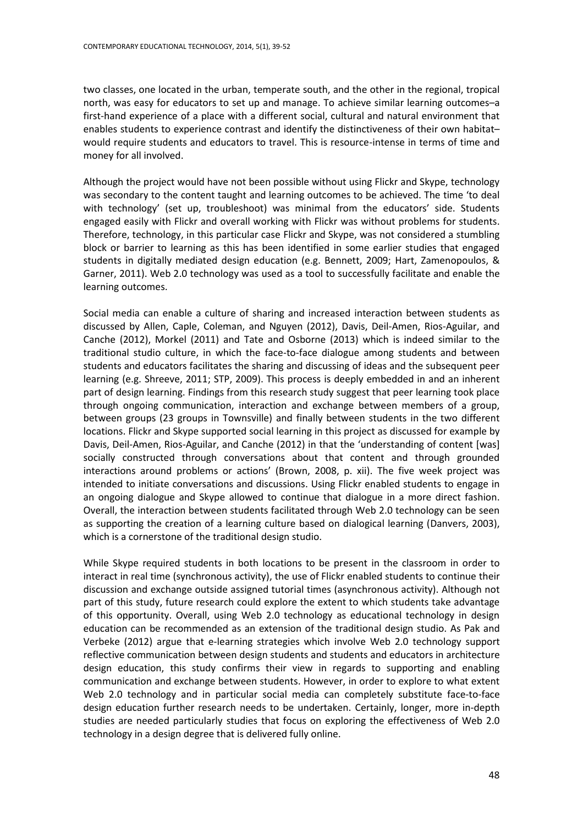two classes, one located in the urban, temperate south, and the other in the regional, tropical north, was easy for educators to set up and manage. To achieve similar learning outcomes–a first-hand experience of a place with a different social, cultural and natural environment that enables students to experience contrast and identify the distinctiveness of their own habitat– would require students and educators to travel. This is resource-intense in terms of time and money for all involved.

Although the project would have not been possible without using Flickr and Skype, technology was secondary to the content taught and learning outcomes to be achieved. The time 'to deal with technology' (set up, troubleshoot) was minimal from the educators' side. Students engaged easily with Flickr and overall working with Flickr was without problems for students. Therefore, technology, in this particular case Flickr and Skype, was not considered a stumbling block or barrier to learning as this has been identified in some earlier studies that engaged students in digitally mediated design education (e.g. Bennett, 2009; Hart, Zamenopoulos, & Garner, 2011). Web 2.0 technology was used as a tool to successfully facilitate and enable the learning outcomes.

Social media can enable a culture of sharing and increased interaction between students as discussed by Allen, Caple, Coleman, and Nguyen (2012), Davis, Deil-Amen, Rios-Aguilar, and Canche (2012), Morkel (2011) and Tate and Osborne (2013) which is indeed similar to the traditional studio culture, in which the face-to-face dialogue among students and between students and educators facilitates the sharing and discussing of ideas and the subsequent peer learning (e.g. Shreeve, 2011; STP, 2009). This process is deeply embedded in and an inherent part of design learning. Findings from this research study suggest that peer learning took place through ongoing communication, interaction and exchange between members of a group, between groups (23 groups in Townsville) and finally between students in the two different locations. Flickr and Skype supported social learning in this project as discussed for example by Davis, Deil-Amen, Rios-Aguilar, and Canche (2012) in that the 'understanding of content [was] socially constructed through conversations about that content and through grounded interactions around problems or actions' (Brown, 2008, p. xii). The five week project was intended to initiate conversations and discussions. Using Flickr enabled students to engage in an ongoing dialogue and Skype allowed to continue that dialogue in a more direct fashion. Overall, the interaction between students facilitated through Web 2.0 technology can be seen as supporting the creation of a learning culture based on dialogical learning (Danvers, 2003), which is a cornerstone of the traditional design studio.

While Skype required students in both locations to be present in the classroom in order to interact in real time (synchronous activity), the use of Flickr enabled students to continue their discussion and exchange outside assigned tutorial times (asynchronous activity). Although not part of this study, future research could explore the extent to which students take advantage of this opportunity. Overall, using Web 2.0 technology as educational technology in design education can be recommended as an extension of the traditional design studio. As Pak and Verbeke (2012) argue that e-learning strategies which involve Web 2.0 technology support reflective communication between design students and students and educators in architecture design education, this study confirms their view in regards to supporting and enabling communication and exchange between students. However, in order to explore to what extent Web 2.0 technology and in particular social media can completely substitute face-to-face design education further research needs to be undertaken. Certainly, longer, more in-depth studies are needed particularly studies that focus on exploring the effectiveness of Web 2.0 technology in a design degree that is delivered fully online.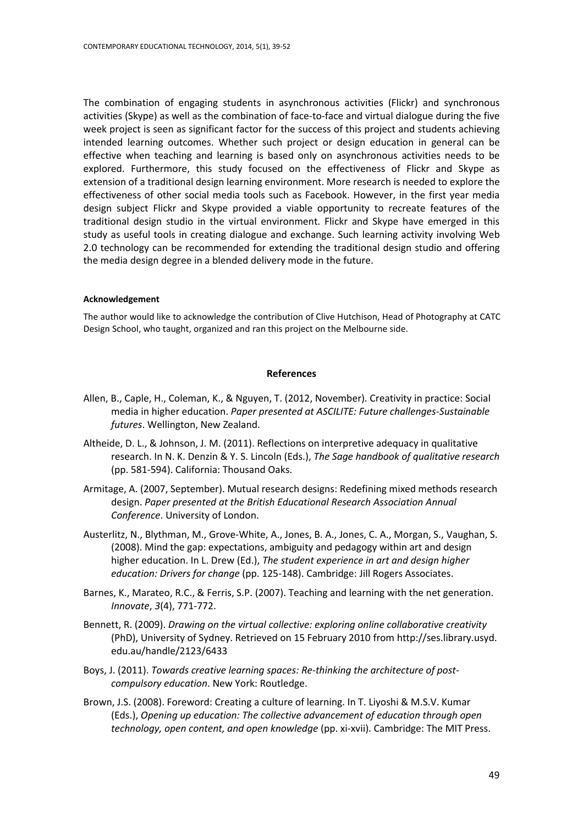The combination of engaging students in asynchronous activities (Flickr) and synchronous activities (Skype) as well as the combination of face-to-face and virtual dialogue during the five week project is seen as significant factor for the success of this project and students achieving intended learning outcomes. Whether such project or design education in general can be effective when teaching and learning is based only on asynchronous activities needs to be explored. Furthermore, this study focused on the effectiveness of Flickr and Skype as extension of a traditional design learning environment. More research is needed to explore the effectiveness of other social media tools such as Facebook. However, in the first year media design subject Flickr and Skype provided a viable opportunity to recreate features of the traditional design studio in the virtual environment. Flickr and Skype have emerged in this study as useful tools in creating dialogue and exchange. Such learning activity involving Web 2.0 technology can be recommended for extending the traditional design studio and offering the media design degree in a blended delivery mode in the future.

#### **Acknowledgement**

The author would like to acknowledge the contribution of Clive Hutchison, Head of Photography at CATC Design School, who taught, organized and ran this project on the Melbourne side.

#### **References**

- Allen, B., Caple, H., Coleman, K., & Nguyen, T. (2012, November). Creativity in practice: Social media in higher education. *Paper presented at ASCILITE: Future challenges-Sustainable futures*. Wellington, New Zealand.
- Altheide, D. L., & Johnson, J. M. (2011). Reflections on interpretive adequacy in qualitative research. In N. K. Denzin & Y. S. Lincoln (Eds.), *The Sage handbook of qualitative research*  (pp. 581-594). California: Thousand Oaks.
- Armitage, A. (2007, September). Mutual research designs: Redefining mixed methods research design. *Paper presented at the British Educational Research Association Annual Conference*. University of London.
- Austerlitz, N., Blythman, M., Grove-White, A., Jones, B. A., Jones, C. A., Morgan, S., Vaughan, S. (2008). Mind the gap: expectations, ambiguity and pedagogy within art and design higher education. In L. Drew (Ed.), *The student experience in art and design higher education: Drivers for change* (pp. 125-148). Cambridge: Jill Rogers Associates.
- Barnes, K., Marateo, R.C., & Ferris, S.P. (2007). Teaching and learning with the net generation. *Innovate*, *3*(4), 771-772.
- Bennett, R. (2009). *Drawing on the virtual collective: exploring online collaborative creativity*  (PhD), University of Sydney. Retrieved on 15 February 2010 from http://ses.library.usyd. edu.au/handle/2123/6433
- Boys, J. (2011). *Towards creative learning spaces: Re-thinking the architecture of postcompulsory education*. New York: Routledge.
- Brown, J.S. (2008). Foreword: Creating a culture of learning. In T. Liyoshi & M.S.V. Kumar (Eds.), *Opening up education: The collective advancement of education through open technology, open content, and open knowledge* (pp. xi-xvii). Cambridge: The MIT Press.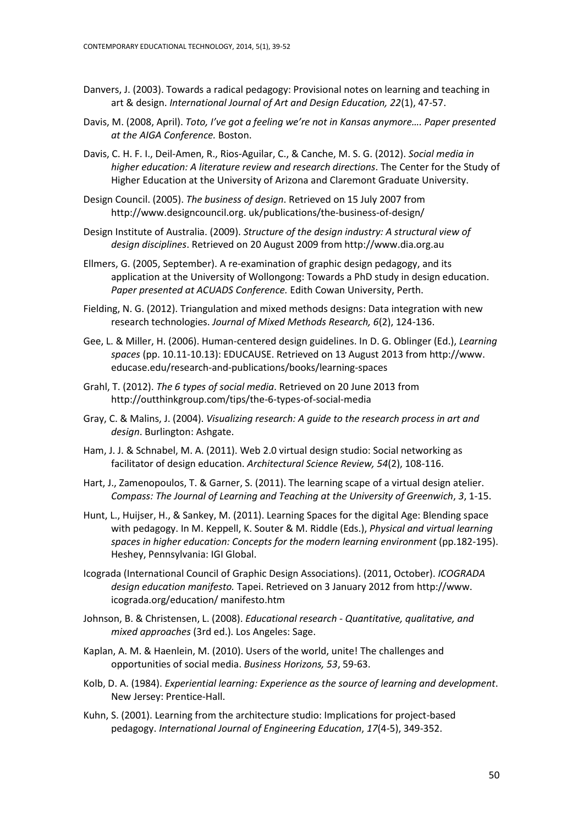- Danvers, J. (2003). Towards a radical pedagogy: Provisional notes on learning and teaching in art & design. *International Journal of Art and Design Education, 22*(1), 47-57.
- Davis, M. (2008, April). *Toto, I've got a feeling we're not in Kansas anymore…. Paper presented at the AIGA Conference.* Boston.
- Davis, C. H. F. I., Deil-Amen, R., Rios-Aguilar, C., & Canche, M. S. G. (2012). *Social media in higher education: A literature review and research directions*. The Center for the Study of Higher Education at the University of Arizona and Claremont Graduate University.
- Design Council. (2005). *The business of design*. Retrieved on 15 July 2007 from [http://www.designcouncil.org.](http://www.designcouncil.org/) uk/publications/the-business-of-design/
- Design Institute of Australia. (2009). *Structure of the design industry: A structural view of design disciplines*. Retrieved on 20 August 2009 from http://www.dia.org.au
- Ellmers, G. (2005, September). A re-examination of graphic design pedagogy, and its application at the University of Wollongong: Towards a PhD study in design education. *Paper presented at ACUADS Conference.* Edith Cowan University, Perth.
- Fielding, N. G. (2012). Triangulation and mixed methods designs: Data integration with new research technologies. *Journal of Mixed Methods Research, 6*(2), 124-136.
- Gee, L. & Miller, H. (2006). Human-centered design guidelines. In D. G. Oblinger (Ed.), *Learning spaces* (pp. 10.11-10.13): EDUCAUSE. Retrieved on 13 August 2013 from [http://www.](http://www/) educase.edu/research-and-publications/books/learning-spaces
- Grahl, T. (2012). *The 6 types of social media*. Retrieved on 20 June 2013 from <http://outthinkgroup.com/tips/the-6-types-of-social-media>
- Gray, C. & Malins, J. (2004). *Visualizing research: A guide to the research process in art and design*. Burlington: Ashgate.
- Ham, J. J. & Schnabel, M. A. (2011). Web 2.0 virtual design studio: Social networking as facilitator of design education. *Architectural Science Review, 54*(2), 108-116.
- Hart, J., Zamenopoulos, T. & Garner, S. (2011). The learning scape of a virtual design atelier. *Compass: The Journal of Learning and Teaching at the University of Greenwich*, *3*, 1-15.
- Hunt, L., Huijser, H., & Sankey, M. (2011). Learning Spaces for the digital Age: Blending space with pedagogy. In M. Keppell, K. Souter & M. Riddle (Eds.), *Physical and virtual learning spaces in higher education: Concepts for the modern learning environment* (pp.182-195). Heshey, Pennsylvania: IGI Global.
- Icograda (International Council of Graphic Design Associations). (2011, October). *ICOGRADA design education manifesto.* Tapei. Retrieved on 3 January 2012 from http://www. icograda.org/education/ manifesto.htm
- Johnson, B. & Christensen, L. (2008). *Educational research - Quantitative, qualitative, and mixed approaches* (3rd ed.). Los Angeles: Sage.
- Kaplan, A. M. & Haenlein, M. (2010). Users of the world, unite! The challenges and opportunities of social media. *Business Horizons, 53*, 59-63.
- Kolb, D. A. (1984). *Experiential learning: Experience as the source of learning and development*. New Jersey: Prentice-Hall.
- Kuhn, S. (2001). Learning from the architecture studio: Implications for project-based pedagogy. *International Journal of Engineering Education*, *17*(4-5), 349-352.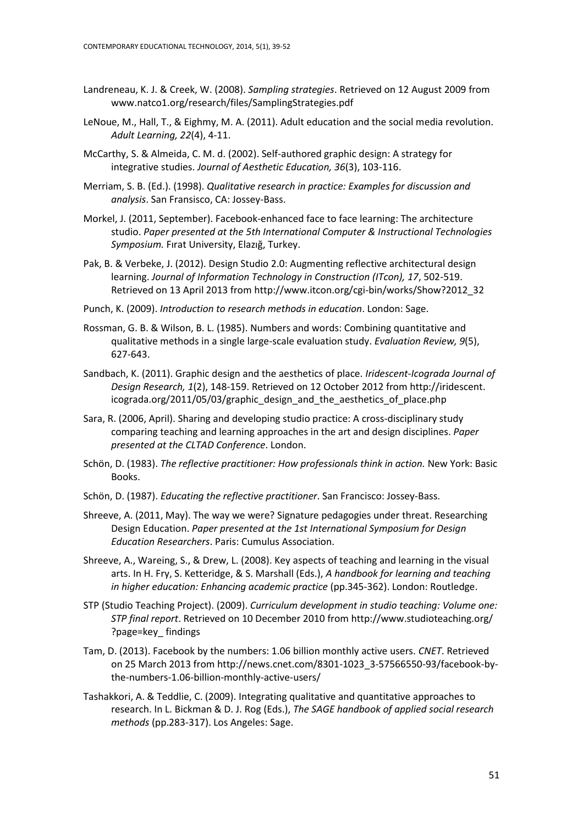- Landreneau, K. J. & Creek, W. (2008). *Sampling strategies*. Retrieved on 12 August 2009 from [www.natco1.org/research/files/SamplingStrategies.pdf](http://www.natco1.org/research/files/SamplingStrategies.pdf)
- LeNoue, M., Hall, T., & Eighmy, M. A. (2011). Adult education and the social media revolution. *Adult Learning, 22*(4), 4-11.
- McCarthy, S. & Almeida, C. M. d. (2002). Self-authored graphic design: A strategy for integrative studies. *Journal of Aesthetic Education, 36*(3), 103-116.
- Merriam, S. B. (Ed.). (1998). *Qualitative research in practice: Examples for discussion and analysis*. San Fransisco, CA: Jossey-Bass.
- Morkel, J. (2011, September). Facebook-enhanced face to face learning: The architecture studio. *Paper presented at the 5th International Computer & Instructional Technologies Symposium.* Fırat University, Elazığ, Turkey.
- Pak, B. & Verbeke, J. (2012). Design Studio 2.0: Augmenting reflective architectural design learning. *Journal of Information Technology in Construction (ITcon), 17*, 502-519. Retrieved on 13 April 2013 fro[m http://www.itcon.org/cgi-bin/works/Show?2012\\_32](http://www.itcon.org/cgi-bin/works/Show?2012_32)
- Punch, K. (2009). *Introduction to research methods in education*. London: Sage.
- Rossman, G. B. & Wilson, B. L. (1985). Numbers and words: Combining quantitative and qualitative methods in a single large-scale evaluation study. *Evaluation Review, 9*(5), 627-643.
- Sandbach, K. (2011). Graphic design and the aesthetics of place. *Iridescent-Icograda Journal of Design Research, 1*(2), 148-159. Retrieved on 12 October 2012 from http://iridescent. icograda.org/2011/05/03/graphic\_design\_and\_the\_aesthetics\_of\_place.php
- Sara, R. (2006, April). Sharing and developing studio practice: A cross-disciplinary study comparing teaching and learning approaches in the art and design disciplines. *Paper presented at the CLTAD Conference*. London.
- Schön, D. (1983). *The reflective practitioner: How professionals think in action.* New York: Basic Books.
- Schön, D. (1987). *Educating the reflective practitioner*. San Francisco: Jossey-Bass.
- Shreeve, A. (2011, May). The way we were? Signature pedagogies under threat. Researching Design Education. *Paper presented at the 1st International Symposium for Design Education Researchers*. Paris: Cumulus Association.
- Shreeve, A., Wareing, S., & Drew, L. (2008). Key aspects of teaching and learning in the visual arts. In H. Fry, S. Ketteridge, & S. Marshall (Eds.), *A handbook for learning and teaching in higher education: Enhancing academic practice* (pp.345-362). London: Routledge.
- STP (Studio Teaching Project). (2009). *Curriculum development in studio teaching: Volume one: STP final report*. Retrieved on 10 December 2010 from<http://www.studioteaching.org/> ?page=key\_ findings
- Tam, D. (2013). Facebook by the numbers: 1.06 billion monthly active users. *CNET*. Retrieved on 25 March 2013 fro[m http://news.cnet.com/8301-1023\\_3-57566550-93/facebook-by](http://news.cnet.com/8301-1023_3-57566550-93/facebook-by-the-numbers-1.06-billion-monthly-active-users/)[the-numbers-1.06-billion-monthly-active-users/](http://news.cnet.com/8301-1023_3-57566550-93/facebook-by-the-numbers-1.06-billion-monthly-active-users/)
- Tashakkori, A. & Teddlie, C. (2009). Integrating qualitative and quantitative approaches to research. In L. Bickman & D. J. Rog (Eds.), *The SAGE handbook of applied social research methods* (pp.283-317). Los Angeles: Sage.